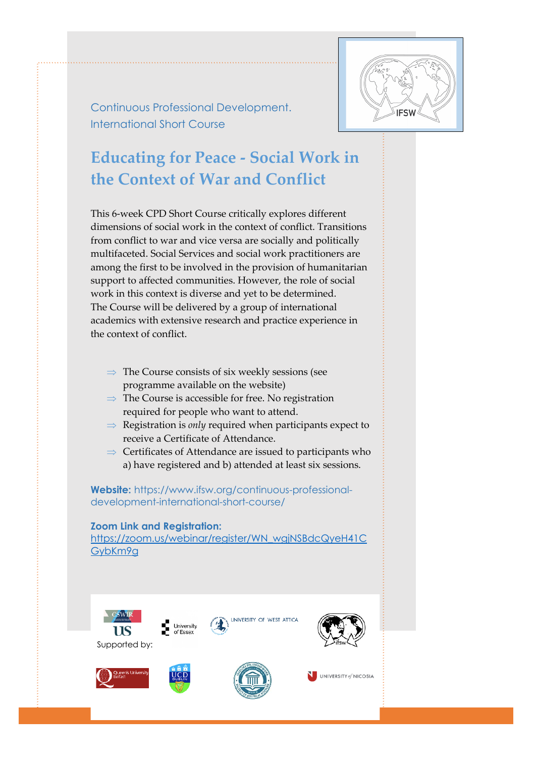

Continuous Professional Development. International Short Course

# **Educating for Peace - Social Work in the Context of War and Conflict**

This 6-week CPD Short Course critically explores different dimensions of social work in the context of conflict. Transitions from conflict to war and vice versa are socially and politically multifaceted. Social Services and social work practitioners are among the first to be involved in the provision of humanitarian support to affected communities. However, the role of social work in this context is diverse and yet to be determined. The Course will be delivered by a group of international academics with extensive research and practice experience in the context of conflict.

- $\Rightarrow$  The Course consists of six weekly sessions (see programme available on the website)
- $\Rightarrow$  The Course is accessible for free. No registration required for people who want to attend.
- $\Rightarrow$  Registration is *only* required when participants expect to receive a Certificate of Attendance.
- $\Rightarrow$  Certificates of Attendance are issued to participants who a) have registered and b) attended at least six sessions.

**Website:** https://www.ifsw.org/continuous-professionaldevelopment-international-short-course/

## **Zoom Link and Registration:**

https://zoom.us/webinar/register/WN\_wgjNSBdcQyeH41C GybKm9g

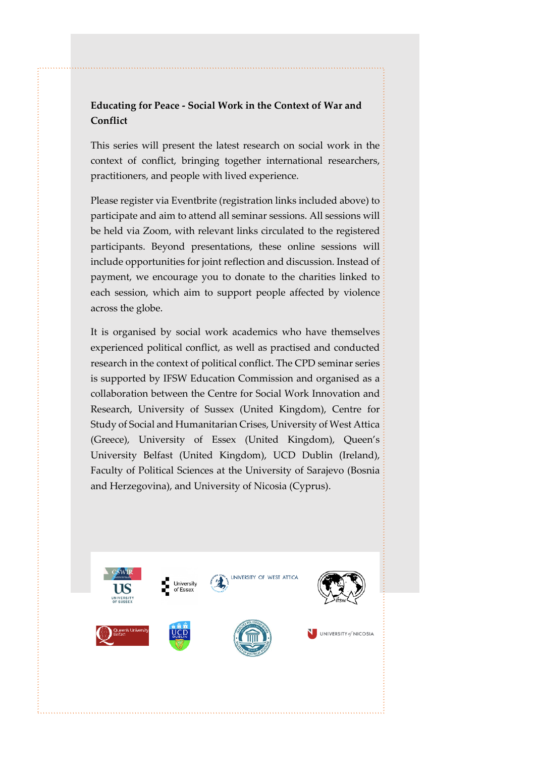# **Educating for Peace - Social Work in the Context of War and Conflict**

This series will present the latest research on social work in the context of conflict, bringing together international researchers, practitioners, and people with lived experience.

Please register via Eventbrite (registration links included above) to participate and aim to attend all seminar sessions. All sessions will be held via Zoom, with relevant links circulated to the registered participants. Beyond presentations, these online sessions will include opportunities for joint reflection and discussion. Instead of payment, we encourage you to donate to the charities linked to each session, which aim to support people affected by violence across the globe.

It is organised by social work academics who have themselves experienced political conflict, as well as practised and conducted research in the context of political conflict. The CPD seminar series is supported by IFSW Education Commission and organised as a collaboration between the Centre for Social Work Innovation and Research, University of Sussex (United Kingdom), Centre for Study of Social and Humanitarian Crises, University of West Attica (Greece), University of Essex (United Kingdom), Queen's University Belfast (United Kingdom), UCD Dublin (Ireland), Faculty of Political Sciences at the University of Sarajevo (Bosnia and Herzegovina), and University of Nicosia (Cyprus).

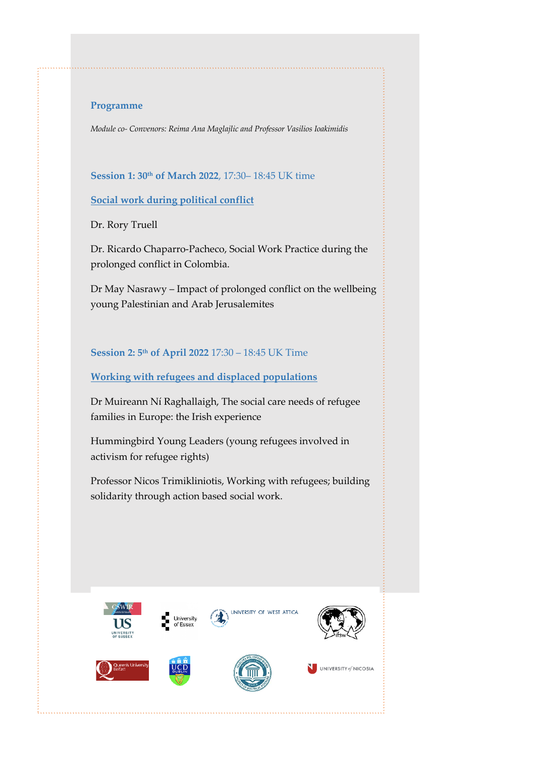#### **Programme**

*Module co- Convenors: Reima Ana Maglajlic and Professor Vasilios Ioakimidis*

**Session 1: 30th of March 2022**, 17:30– 18:45 UK time

**Social work during political conflict**

Dr. Rory Truell

Dr. Ricardo Chaparro-Pacheco, Social Work Practice during the prolonged conflict in Colombia.

Dr May Nasrawy – Impact of prolonged conflict on the wellbeing young Palestinian and Arab Jerusalemites

## **Session 2: 5th of April 2022** 17:30 – 18:45 UK Time

#### **Working with refugees and displaced populations**

Dr Muireann Ní Raghallaigh, The social care needs of refugee families in Europe: the Irish experience

Hummingbird Young Leaders (young refugees involved in activism for refugee rights)

Professor Nicos Trimikliniotis, Working with refugees; building solidarity through action based social work.









UNIVERSITY OF WEST ATTICA



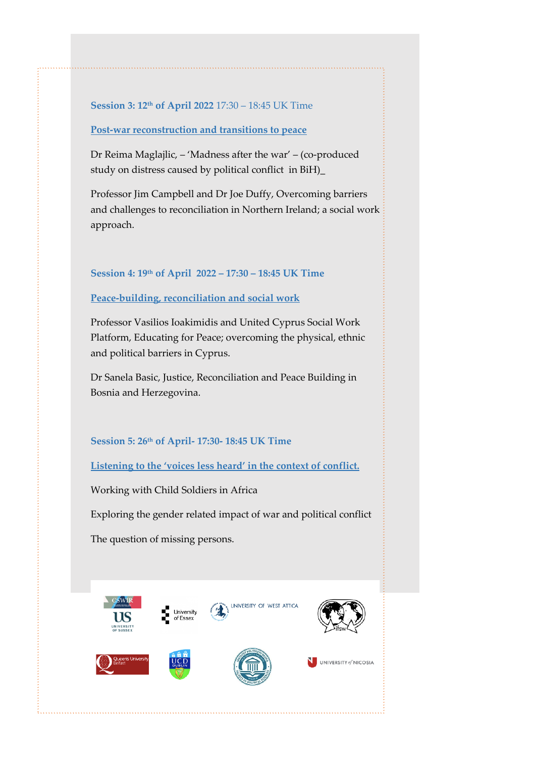#### **Session 3: 12th of April 2022** 17:30 – 18:45 UK Time

#### **Post-war reconstruction and transitions to peace**

Dr Reima Maglajlic, – 'Madness after the war' – (co-produced study on distress caused by political conflict in BiH)\_

Professor Jim Campbell and Dr Joe Duffy, Overcoming barriers and challenges to reconciliation in Northern Ireland; a social work approach.

#### **Session 4: 19th of April 2022 – 17:30 – 18:45 UK Time**

#### **Peace-building, reconciliation and social work**

Professor Vasilios Ioakimidis and United Cyprus Social Work Platform, Educating for Peace; overcoming the physical, ethnic and political barriers in Cyprus.

Dr Sanela Basic, Justice, Reconciliation and Peace Building in Bosnia and Herzegovina.

## **Session 5: 26th of April- 17:30- 18:45 UK Time**

**Listening to the 'voices less heard' in the context of conflict.** 

Working with Child Soldiers in Africa

Exploring the gender related impact of war and political conflict

The question of missing persons.